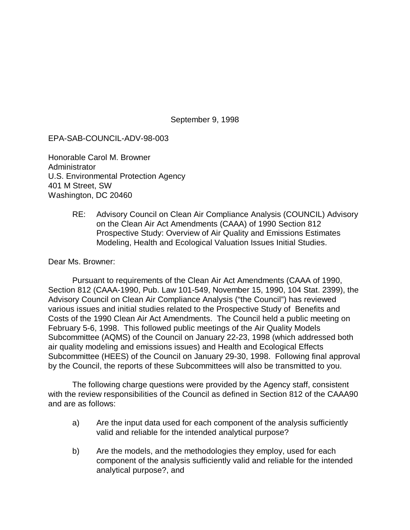September 9, 1998

## EPA-SAB-COUNCIL-ADV-98-003

Honorable Carol M. Browner Administrator U.S. Environmental Protection Agency 401 M Street, SW Washington, DC 20460

> RE: Advisory Council on Clean Air Compliance Analysis (COUNCIL) Advisory on the Clean Air Act Amendments (CAAA) of 1990 Section 812 Prospective Study: Overview of Air Quality and Emissions Estimates Modeling, Health and Ecological Valuation Issues Initial Studies.

Dear Ms. Browner:

Pursuant to requirements of the Clean Air Act Amendments (CAAA of 1990, Section 812 (CAAA-1990, Pub. Law 101-549, November 15, 1990, 104 Stat. 2399), the Advisory Council on Clean Air Compliance Analysis ("the Council") has reviewed various issues and initial studies related to the Prospective Study of Benefits and Costs of the 1990 Clean Air Act Amendments. The Council held a public meeting on February 5-6, 1998. This followed public meetings of the Air Quality Models Subcommittee (AQMS) of the Council on January 22-23, 1998 (which addressed both air quality modeling and emissions issues) and Health and Ecological Effects Subcommittee (HEES) of the Council on January 29-30, 1998. Following final approval by the Council, the reports of these Subcommittees will also be transmitted to you.

The following charge questions were provided by the Agency staff, consistent with the review responsibilities of the Council as defined in Section 812 of the CAAA90 and are as follows:

- a) Are the input data used for each component of the analysis sufficiently valid and reliable for the intended analytical purpose?
- b) Are the models, and the methodologies they employ, used for each component of the analysis sufficiently valid and reliable for the intended analytical purpose?, and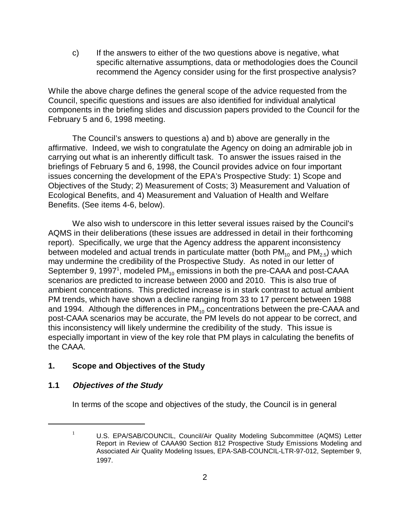c) If the answers to either of the two questions above is negative, what specific alternative assumptions, data or methodologies does the Council recommend the Agency consider using for the first prospective analysis?

While the above charge defines the general scope of the advice requested from the Council, specific questions and issues are also identified for individual analytical components in the briefing slides and discussion papers provided to the Council for the February 5 and 6, 1998 meeting.

The Council's answers to questions a) and b) above are generally in the affirmative. Indeed, we wish to congratulate the Agency on doing an admirable job in carrying out what is an inherently difficult task. To answer the issues raised in the briefings of February 5 and 6, 1998, the Council provides advice on four important issues concerning the development of the EPA's Prospective Study: 1) Scope and Objectives of the Study; 2) Measurement of Costs; 3) Measurement and Valuation of Ecological Benefits, and 4) Measurement and Valuation of Health and Welfare Benefits. (See items 4-6, below).

We also wish to underscore in this letter several issues raised by the Council's AQMS in their deliberations (these issues are addressed in detail in their forthcoming report). Specifically, we urge that the Agency address the apparent inconsistency between modeled and actual trends in particulate matter (both  $PM_{10}$  and  $PM_{2.5}$ ) which may undermine the credibility of the Prospective Study. As noted in our letter of September 9, 1997<sup>1</sup>, modeled PM<sub>10</sub> emissions in both the pre-CAAA and post-CAAA scenarios are predicted to increase between 2000 and 2010. This is also true of ambient concentrations. This predicted increase is in stark contrast to actual ambient PM trends, which have shown a decline ranging from 33 to 17 percent between 1988 and 1994. Although the differences in  $PM_{10}$  concentrations between the pre-CAAA and post-CAAA scenarios may be accurate, the PM levels do not appear to be correct, and this inconsistency will likely undermine the credibility of the study. This issue is especially important in view of the key role that PM plays in calculating the benefits of the CAAA.

## **1. Scope and Objectives of the Study**

## **1.1 Objectives of the Study**

In terms of the scope and objectives of the study, the Council is in general

<sup>&</sup>lt;sup>1</sup> U.S. EPA/SAB/COUNCIL, Council/Air Quality Modeling Subcommittee (AQMS) Letter Report in Review of CAAA90 Section 812 Prospective Study Emissions Modeling and Associated Air Quality Modeling Issues, EPA-SAB-COUNCIL-LTR-97-012, September 9, 1997.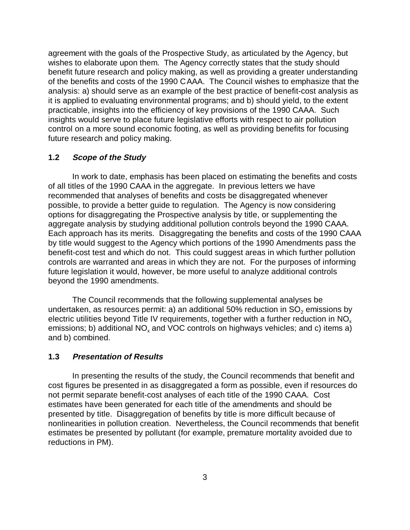agreement with the goals of the Prospective Study, as articulated by the Agency, but wishes to elaborate upon them. The Agency correctly states that the study should benefit future research and policy making, as well as providing a greater understanding of the benefits and costs of the 1990 CAAA. The Council wishes to emphasize that the analysis: a) should serve as an example of the best practice of benefit-cost analysis as it is applied to evaluating environmental programs; and b) should yield, to the extent practicable, insights into the efficiency of key provisions of the 1990 CAAA. Such insights would serve to place future legislative efforts with respect to air pollution control on a more sound economic footing, as well as providing benefits for focusing future research and policy making.

#### **1.2 Scope of the Study**

In work to date, emphasis has been placed on estimating the benefits and costs of all titles of the 1990 CAAA in the aggregate. In previous letters we have recommended that analyses of benefits and costs be disaggregated whenever possible, to provide a better guide to regulation. The Agency is now considering options for disaggregating the Prospective analysis by title, or supplementing the aggregate analysis by studying additional pollution controls beyond the 1990 CAAA. Each approach has its merits. Disaggregating the benefits and costs of the 1990 CAAA by title would suggest to the Agency which portions of the 1990 Amendments pass the benefit-cost test and which do not. This could suggest areas in which further pollution controls are warranted and areas in which they are not. For the purposes of informing future legislation it would, however, be more useful to analyze additional controls beyond the 1990 amendments.

The Council recommends that the following supplemental analyses be undertaken, as resources permit: a) an additional 50% reduction in  $SO<sub>2</sub>$  emissions by electric utilities beyond Title IV requirements, together with a further reduction in  $NO<sub>x</sub>$ emissions; b) additional  $NO<sub>x</sub>$  and  $VOC$  controls on highways vehicles; and c) items a) and b) combined.

#### **1.3 Presentation of Results**

In presenting the results of the study, the Council recommends that benefit and cost figures be presented in as disaggregated a form as possible, even if resources do not permit separate benefit-cost analyses of each title of the 1990 CAAA. Cost estimates have been generated for each title of the amendments and should be presented by title. Disaggregation of benefits by title is more difficult because of nonlinearities in pollution creation. Nevertheless, the Council recommends that benefit estimates be presented by pollutant (for example, premature mortality avoided due to reductions in PM).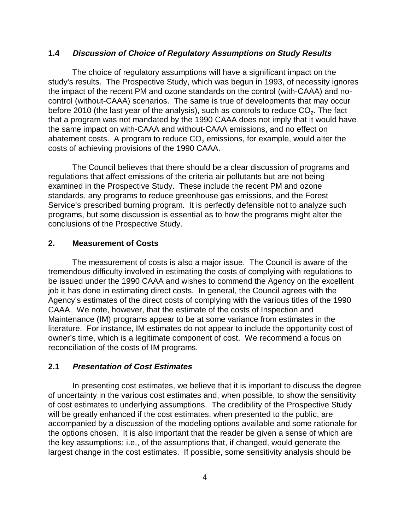#### **1.4 Discussion of Choice of Regulatory Assumptions on Study Results**

The choice of regulatory assumptions will have a significant impact on the study's results. The Prospective Study, which was begun in 1993, of necessity ignores the impact of the recent PM and ozone standards on the control (with-CAAA) and nocontrol (without-CAAA) scenarios. The same is true of developments that may occur before 2010 (the last year of the analysis), such as controls to reduce  $CO<sub>2</sub>$ . The fact that a program was not mandated by the 1990 CAAA does not imply that it would have the same impact on with-CAAA and without-CAAA emissions, and no effect on abatement costs. A program to reduce  $CO<sub>2</sub>$  emissions, for example, would alter the costs of achieving provisions of the 1990 CAAA.

The Council believes that there should be a clear discussion of programs and regulations that affect emissions of the criteria air pollutants but are not being examined in the Prospective Study. These include the recent PM and ozone standards, any programs to reduce greenhouse gas emissions, and the Forest Service's prescribed burning program. It is perfectly defensible not to analyze such programs, but some discussion is essential as to how the programs might alter the conclusions of the Prospective Study.

#### **2. Measurement of Costs**

The measurement of costs is also a major issue. The Council is aware of the tremendous difficulty involved in estimating the costs of complying with regulations to be issued under the 1990 CAAA and wishes to commend the Agency on the excellent job it has done in estimating direct costs. In general, the Council agrees with the Agency's estimates of the direct costs of complying with the various titles of the 1990 CAAA. We note, however, that the estimate of the costs of Inspection and Maintenance (IM) programs appear to be at some variance from estimates in the literature. For instance, IM estimates do not appear to include the opportunity cost of owner's time, which is a legitimate component of cost. We recommend a focus on reconciliation of the costs of IM programs.

#### **2.1 Presentation of Cost Estimates**

In presenting cost estimates, we believe that it is important to discuss the degree of uncertainty in the various cost estimates and, when possible, to show the sensitivity of cost estimates to underlying assumptions. The credibility of the Prospective Study will be greatly enhanced if the cost estimates, when presented to the public, are accompanied by a discussion of the modeling options available and some rationale for the options chosen. It is also important that the reader be given a sense of which are the key assumptions; i.e., of the assumptions that, if changed, would generate the largest change in the cost estimates. If possible, some sensitivity analysis should be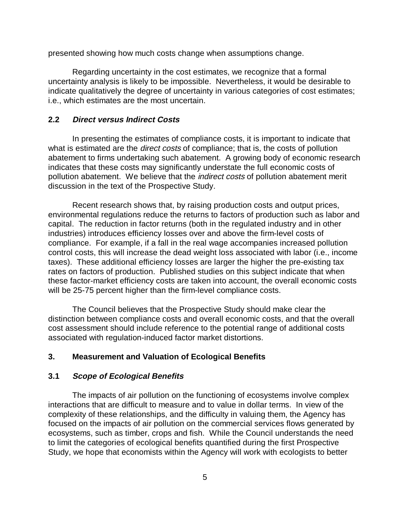presented showing how much costs change when assumptions change.

Regarding uncertainty in the cost estimates, we recognize that a formal uncertainty analysis is likely to be impossible. Nevertheless, it would be desirable to indicate qualitatively the degree of uncertainty in various categories of cost estimates; i.e., which estimates are the most uncertain.

#### **2.2 Direct versus Indirect Costs**

In presenting the estimates of compliance costs, it is important to indicate that what is estimated are the *direct costs* of compliance; that is, the costs of pollution abatement to firms undertaking such abatement. A growing body of economic research indicates that these costs may significantly understate the full economic costs of pollution abatement. We believe that the indirect costs of pollution abatement merit discussion in the text of the Prospective Study.

Recent research shows that, by raising production costs and output prices, environmental regulations reduce the returns to factors of production such as labor and capital. The reduction in factor returns (both in the regulated industry and in other industries) introduces efficiency losses over and above the firm-level costs of compliance. For example, if a fall in the real wage accompanies increased pollution control costs, this will increase the dead weight loss associated with labor (i.e., income taxes). These additional efficiency losses are larger the higher the pre-existing tax rates on factors of production. Published studies on this subject indicate that when these factor-market efficiency costs are taken into account, the overall economic costs will be 25-75 percent higher than the firm-level compliance costs.

The Council believes that the Prospective Study should make clear the distinction between compliance costs and overall economic costs, and that the overall cost assessment should include reference to the potential range of additional costs associated with regulation-induced factor market distortions.

#### **3. Measurement and Valuation of Ecological Benefits**

#### **3.1 Scope of Ecological Benefits**

The impacts of air pollution on the functioning of ecosystems involve complex interactions that are difficult to measure and to value in dollar terms. In view of the complexity of these relationships, and the difficulty in valuing them, the Agency has focused on the impacts of air pollution on the commercial services flows generated by ecosystems, such as timber, crops and fish. While the Council understands the need to limit the categories of ecological benefits quantified during the first Prospective Study, we hope that economists within the Agency will work with ecologists to better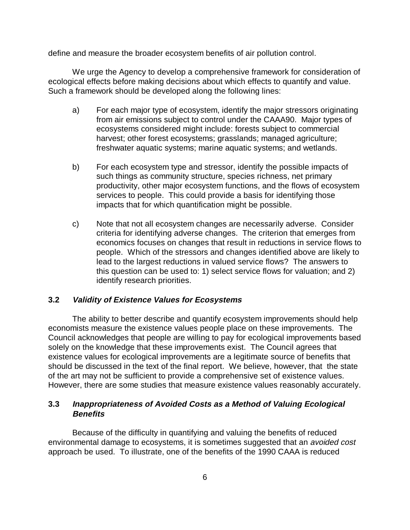define and measure the broader ecosystem benefits of air pollution control.

We urge the Agency to develop a comprehensive framework for consideration of ecological effects before making decisions about which effects to quantify and value. Such a framework should be developed along the following lines:

- a) For each major type of ecosystem, identify the major stressors originating from air emissions subject to control under the CAAA90. Major types of ecosystems considered might include: forests subject to commercial harvest; other forest ecosystems; grasslands; managed agriculture; freshwater aquatic systems; marine aquatic systems; and wetlands.
- b) For each ecosystem type and stressor, identify the possible impacts of such things as community structure, species richness, net primary productivity, other major ecosystem functions, and the flows of ecosystem services to people. This could provide a basis for identifying those impacts that for which quantification might be possible.
- c) Note that not all ecosystem changes are necessarily adverse. Consider criteria for identifying adverse changes. The criterion that emerges from economics focuses on changes that result in reductions in service flows to people. Which of the stressors and changes identified above are likely to lead to the largest reductions in valued service flows? The answers to this question can be used to: 1) select service flows for valuation; and 2) identify research priorities.

#### **3.2 Validity of Existence Values for Ecosystems**

The ability to better describe and quantify ecosystem improvements should help economists measure the existence values people place on these improvements. The Council acknowledges that people are willing to pay for ecological improvements based solely on the knowledge that these improvements exist. The Council agrees that existence values for ecological improvements are a legitimate source of benefits that should be discussed in the text of the final report. We believe, however, that the state of the art may not be sufficient to provide a comprehensive set of existence values. However, there are some studies that measure existence values reasonably accurately.

## **3.3 Inappropriateness of Avoided Costs as a Method of Valuing Ecological Benefits**

Because of the difficulty in quantifying and valuing the benefits of reduced environmental damage to ecosystems, it is sometimes suggested that an avoided cost approach be used. To illustrate, one of the benefits of the 1990 CAAA is reduced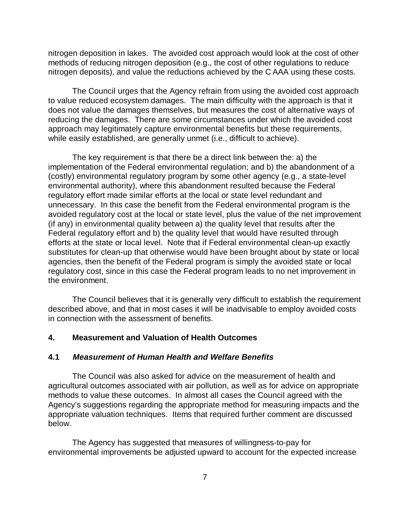nitrogen deposition in lakes. The avoided cost approach would look at the cost of other methods of reducing nitrogen deposition (e.g., the cost of other regulations to reduce nitrogen deposits), and value the reductions achieved by the C AAA using these costs.

The Council urges that the Agency refrain from using the avoided cost approach to value reduced ecosystem damages. The main difficulty with the approach is that it does not value the damages themselves, but measures the cost of alternative ways of reducing the damages. There are some circumstances under which the avoided cost approach may legitimately capture environmental benefits but these requirements, while easily established, are generally unmet (i.e., difficult to achieve).

The key requirement is that there be a direct link between the: a) the implementation of the Federal environmental regulation; and b) the abandonment of a (costly) environmental regulatory program by some other agency (e.g., a state-level environmental authority), where this abandonment resulted because the Federal regulatory effort made similar efforts at the local or state level redundant and unnecessary. In this case the benefit from the Federal environmental program is the avoided regulatory cost at the local or state level, plus the value of the net improvement (if any) in environmental quality between a) the quality level that results after the Federal regulatory effort and b) the quality level that would have resulted through efforts at the state or local level. Note that if Federal environmental clean-up exactly substitutes for clean-up that otherwise would have been brought about by state or local agencies, then the benefit of the Federal program is simply the avoided state or local regulatory cost, since in this case the Federal program leads to no net improvement in the environment.

The Council believes that it is generally very difficult to establish the requirement described above, and that in most cases it will be inadvisable to employ avoided costs in connection with the assessment of benefits.

#### **4. Measurement and Valuation of Health Outcomes**

#### **4.1 Measurement of Human Health and Welfare Benefits**

The Council was also asked for advice on the measurement of health and agricultural outcomes associated with air pollution, as well as for advice on appropriate methods to value these outcomes. In almost all cases the Council agreed with the Agency's suggestions regarding the appropriate method for measuring impacts and the appropriate valuation techniques. Items that required further comment are discussed below.

The Agency has suggested that measures of willingness-to-pay for environmental improvements be adjusted upward to account for the expected increase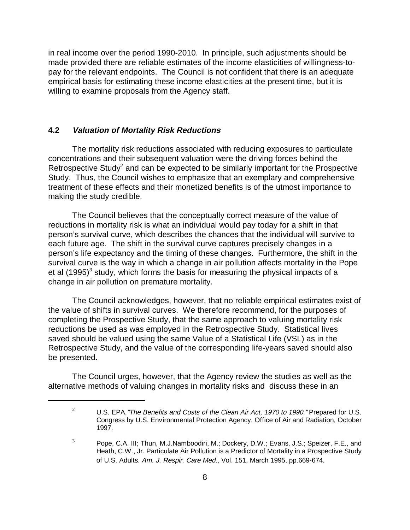in real income over the period 1990-2010. In principle, such adjustments should be made provided there are reliable estimates of the income elasticities of willingness-topay for the relevant endpoints. The Council is not confident that there is an adequate empirical basis for estimating these income elasticities at the present time, but it is willing to examine proposals from the Agency staff.

#### **4.2 Valuation of Mortality Risk Reductions**

The mortality risk reductions associated with reducing exposures to particulate concentrations and their subsequent valuation were the driving forces behind the Retrospective Study<sup>2</sup> and can be expected to be similarly important for the Prospective Study. Thus, the Council wishes to emphasize that an exemplary and comprehensive treatment of these effects and their monetized benefits is of the utmost importance to making the study credible.

The Council believes that the conceptually correct measure of the value of reductions in mortality risk is what an individual would pay today for a shift in that person's survival curve, which describes the chances that the individual will survive to each future age. The shift in the survival curve captures precisely changes in a person's life expectancy and the timing of these changes. Furthermore, the shift in the survival curve is the way in which a change in air pollution affects mortality in the Pope et al (1995)<sup>3</sup> study, which forms the basis for measuring the physical impacts of a change in air pollution on premature mortality.

The Council acknowledges, however, that no reliable empirical estimates exist of the value of shifts in survival curves. We therefore recommend, for the purposes of completing the Prospective Study, that the same approach to valuing mortality risk reductions be used as was employed in the Retrospective Study. Statistical lives saved should be valued using the same Value of a Statistical Life (VSL) as in the Retrospective Study, and the value of the corresponding life-years saved should also be presented.

The Council urges, however, that the Agency review the studies as well as the alternative methods of valuing changes in mortality risks and discuss these in an

<sup>&</sup>lt;sup>2</sup> U.S. EPA, *The Benefits and Costs of the Clean Air Act, 1970 to 1990*, "Prepared for U.S. Congress by U.S. Environmental Protection Agency, Office of Air and Radiation, October 1997.

 $3$  Pope, C.A. III; Thun, M.J.Namboodiri, M.; Dockery, D.W.; Evans, J.S.; Speizer, F.E., and Heath, C.W., Jr. Particulate Air Pollution is a Predictor of Mortality in a Prospective Study of U.S. Adults. Am. J. Respir. Care Med., Vol. 151, March 1995, pp.669-674.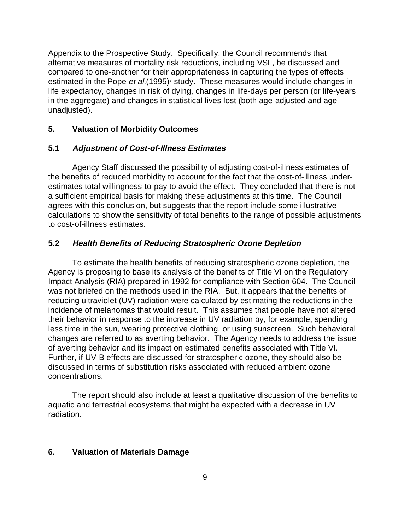Appendix to the Prospective Study. Specifically, the Council recommends that alternative measures of mortality risk reductions, including VSL, be discussed and compared to one-another for their appropriateness in capturing the types of effects estimated in the Pope *et al.*(1995)<sup>3</sup> study. These measures would include changes in life expectancy, changes in risk of dying, changes in life-days per person (or life-years in the aggregate) and changes in statistical lives lost (both age-adjusted and ageunadjusted).

## **5. Valuation of Morbidity Outcomes**

## **5.1 Adjustment of Cost-of-Illness Estimates**

Agency Staff discussed the possibility of adjusting cost-of-illness estimates of the benefits of reduced morbidity to account for the fact that the cost-of-illness underestimates total willingness-to-pay to avoid the effect. They concluded that there is not a sufficient empirical basis for making these adjustments at this time. The Council agrees with this conclusion, but suggests that the report include some illustrative calculations to show the sensitivity of total benefits to the range of possible adjustments to cost-of-illness estimates.

## **5.2 Health Benefits of Reducing Stratospheric Ozone Depletion**

To estimate the health benefits of reducing stratospheric ozone depletion, the Agency is proposing to base its analysis of the benefits of Title VI on the Regulatory Impact Analysis (RIA) prepared in 1992 for compliance with Section 604. The Council was not briefed on the methods used in the RIA. But, it appears that the benefits of reducing ultraviolet (UV) radiation were calculated by estimating the reductions in the incidence of melanomas that would result. This assumes that people have not altered their behavior in response to the increase in UV radiation by, for example, spending less time in the sun, wearing protective clothing, or using sunscreen. Such behavioral changes are referred to as averting behavior. The Agency needs to address the issue of averting behavior and its impact on estimated benefits associated with Title VI. Further, if UV-B effects are discussed for stratospheric ozone, they should also be discussed in terms of substitution risks associated with reduced ambient ozone concentrations.

The report should also include at least a qualitative discussion of the benefits to aquatic and terrestrial ecosystems that might be expected with a decrease in UV radiation.

#### **6. Valuation of Materials Damage**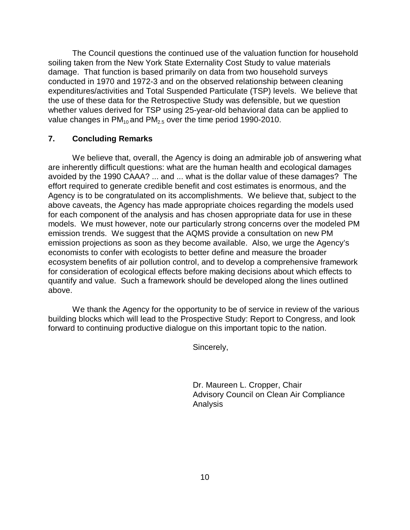The Council questions the continued use of the valuation function for household soiling taken from the New York State Externality Cost Study to value materials damage. That function is based primarily on data from two household surveys conducted in 1970 and 1972-3 and on the observed relationship between cleaning expenditures/activities and Total Suspended Particulate (TSP) levels. We believe that the use of these data for the Retrospective Study was defensible, but we question whether values derived for TSP using 25-year-old behavioral data can be applied to value changes in  $PM_{10}$  and  $PM_{25}$  over the time period 1990-2010.

#### **7. Concluding Remarks**

We believe that, overall, the Agency is doing an admirable job of answering what are inherently difficult questions: what are the human health and ecological damages avoided by the 1990 CAAA? ... and ... what is the dollar value of these damages? The effort required to generate credible benefit and cost estimates is enormous, and the Agency is to be congratulated on its accomplishments. We believe that, subject to the above caveats, the Agency has made appropriate choices regarding the models used for each component of the analysis and has chosen appropriate data for use in these models. We must however, note our particularly strong concerns over the modeled PM emission trends. We suggest that the AQMS provide a consultation on new PM emission projections as soon as they become available. Also, we urge the Agency's economists to confer with ecologists to better define and measure the broader ecosystem benefits of air pollution control, and to develop a comprehensive framework for consideration of ecological effects before making decisions about which effects to quantify and value. Such a framework should be developed along the lines outlined above.

We thank the Agency for the opportunity to be of service in review of the various building blocks which will lead to the Prospective Study: Report to Congress, and look forward to continuing productive dialogue on this important topic to the nation.

Sincerely,

Dr. Maureen L. Cropper, Chair Advisory Council on Clean Air Compliance Analysis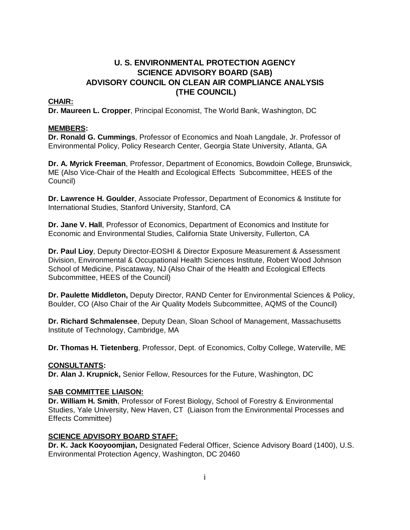## **U. S. ENVIRONMENTAL PROTECTION AGENCY SCIENCE ADVISORY BOARD (SAB) ADVISORY COUNCIL ON CLEAN AIR COMPLIANCE ANALYSIS (THE COUNCIL)**

#### **CHAIR:**

**Dr. Maureen L. Cropper**, Principal Economist, The World Bank, Washington, DC

#### **MEMBERS:**

**Dr. Ronald G. Cummings**, Professor of Economics and Noah Langdale, Jr. Professor of Environmental Policy, Policy Research Center, Georgia State University, Atlanta, GA

**Dr. A. Myrick Freeman**, Professor, Department of Economics, Bowdoin College, Brunswick, ME (Also Vice-Chair of the Health and Ecological Effects Subcommittee, HEES of the Council)

**Dr. Lawrence H. Goulder**, Associate Professor, Department of Economics & Institute for International Studies, Stanford University, Stanford, CA

**Dr. Jane V. Hall**, Professor of Economics, Department of Economics and Institute for Economic and Environmental Studies, California State University, Fullerton, CA

**Dr. Paul Lioy**, Deputy Director-EOSHI & Director Exposure Measurement & Assessment Division, Environmental & Occupational Health Sciences Institute, Robert Wood Johnson School of Medicine, Piscataway, NJ (Also Chair of the Health and Ecological Effects Subcommittee, HEES of the Council)

**Dr. Paulette Middleton,** Deputy Director, RAND Center for Environmental Sciences & Policy, Boulder, CO (Also Chair of the Air Quality Models Subcommittee, AQMS of the Council)

**Dr. Richard Schmalensee**, Deputy Dean, Sloan School of Management, Massachusetts Institute of Technology, Cambridge, MA

**Dr. Thomas H. Tietenberg**, Professor, Dept. of Economics, Colby College, Waterville, ME

#### **CONSULTANTS:**

**Dr. Alan J. Krupnick,** Senior Fellow, Resources for the Future, Washington, DC

#### **SAB COMMITTEE LIAISON:**

**Dr. William H. Smith**, Professor of Forest Biology, School of Forestry & Environmental Studies, Yale University, New Haven, CT (Liaison from the Environmental Processes and Effects Committee)

#### **SCIENCE ADVISORY BOARD STAFF:**

**Dr. K. Jack Kooyoomjian,** Designated Federal Officer, Science Advisory Board (1400), U.S. Environmental Protection Agency, Washington, DC 20460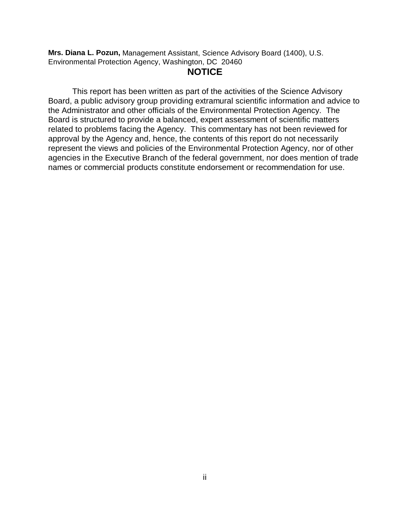**Mrs. Diana L. Pozun,** Management Assistant, Science Advisory Board (1400), U.S. Environmental Protection Agency, Washington, DC 20460

## **NOTICE**

This report has been written as part of the activities of the Science Advisory Board, a public advisory group providing extramural scientific information and advice to the Administrator and other officials of the Environmental Protection Agency. The Board is structured to provide a balanced, expert assessment of scientific matters related to problems facing the Agency. This commentary has not been reviewed for approval by the Agency and, hence, the contents of this report do not necessarily represent the views and policies of the Environmental Protection Agency, nor of other agencies in the Executive Branch of the federal government, nor does mention of trade names or commercial products constitute endorsement or recommendation for use.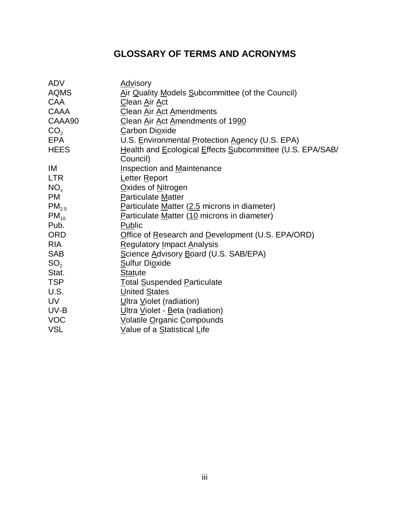# **GLOSSARY OF TERMS AND ACRONYMS**

| <b>ADV</b>        | <b>Advisory</b>                                           |
|-------------------|-----------------------------------------------------------|
| <b>AQMS</b>       | Air Quality Models Subcommittee (of the Council)          |
| <b>CAA</b>        | Clean Air Act                                             |
| <b>CAAA</b>       | Clean Air Act Amendments                                  |
| CAAA90            | Clean Air Act Amendments of 1990                          |
| CO <sub>2</sub>   | <b>Carbon Dioxide</b>                                     |
| <b>EPA</b>        | U.S. Environmental Protection Agency (U.S. EPA)           |
| <b>HEES</b>       | Health and Ecological Effects Subcommittee (U.S. EPA/SAB/ |
|                   | Council)                                                  |
| IM                | <b>Inspection and Maintenance</b>                         |
| <b>LTR</b>        | Letter Report                                             |
| NO <sub>x</sub>   | Oxides of Nitrogen                                        |
| <b>PM</b>         | Particulate Matter                                        |
| PM <sub>2.5</sub> | Particulate Matter (2.5 microns in diameter)              |
| $PM_{10}$         | Particulate Matter (10 microns in diameter)               |
| Pub.              | Public                                                    |
| <b>ORD</b>        | Office of Research and Development (U.S. EPA/ORD)         |
| <b>RIA</b>        | <b>Regulatory Impact Analysis</b>                         |
| <b>SAB</b>        | Science Advisory Board (U.S. SAB/EPA)                     |
| SO <sub>2</sub>   | <b>Sulfur Dioxide</b>                                     |
| Stat.             | <b>Statute</b>                                            |
| <b>TSP</b>        | <b>Total Suspended Particulate</b>                        |
| U.S.              | <b>United States</b>                                      |
| <b>UV</b>         | Ultra Violet (radiation)                                  |
| UV-B              | Ultra Violet - Beta (radiation)                           |
| <b>VOC</b>        | Volatile Organic Compounds                                |
| <b>VSL</b>        | Value of a Statistical Life                               |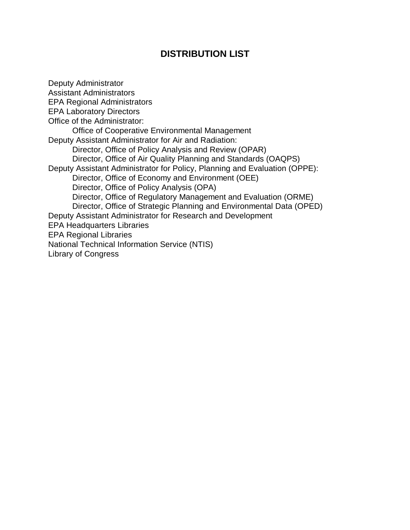## **DISTRIBUTION LIST**

Deputy Administrator Assistant Administrators EPA Regional Administrators EPA Laboratory Directors Office of the Administrator: Office of Cooperative Environmental Management Deputy Assistant Administrator for Air and Radiation: Director, Office of Policy Analysis and Review (OPAR) Director, Office of Air Quality Planning and Standards (OAQPS) Deputy Assistant Administrator for Policy, Planning and Evaluation (OPPE): Director, Office of Economy and Environment (OEE) Director, Office of Policy Analysis (OPA) Director, Office of Regulatory Management and Evaluation (ORME) Director, Office of Strategic Planning and Environmental Data (OPED) Deputy Assistant Administrator for Research and Development EPA Headquarters Libraries EPA Regional Libraries National Technical Information Service (NTIS) Library of Congress